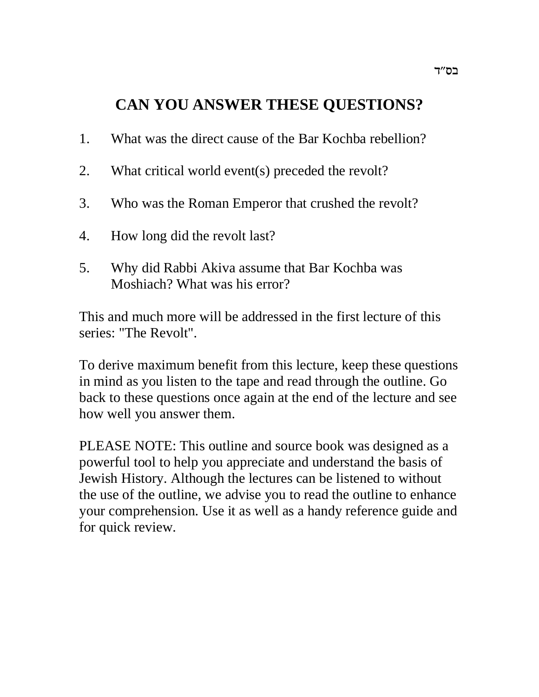# **CAN YOU ANSWER THESE QUESTIONS?**

- 1. What was the direct cause of the Bar Kochba rebellion?
- 2. What critical world event(s) preceded the revolt?
- 3. Who was the Roman Emperor that crushed the revolt?
- 4. How long did the revolt last?
- 5. Why did Rabbi Akiva assume that Bar Kochba was Moshiach? What was his error?

This and much more will be addressed in the first lecture of this series: "The Revolt".

To derive maximum benefit from this lecture, keep these questions in mind as you listen to the tape and read through the outline. Go back to these questions once again at the end of the lecture and see how well you answer them.

PLEASE NOTE: This outline and source book was designed as a powerful tool to help you appreciate and understand the basis of Jewish History. Although the lectures can be listened to without the use of the outline, we advise you to read the outline to enhance your comprehension. Use it as well as a handy reference guide and for quick review.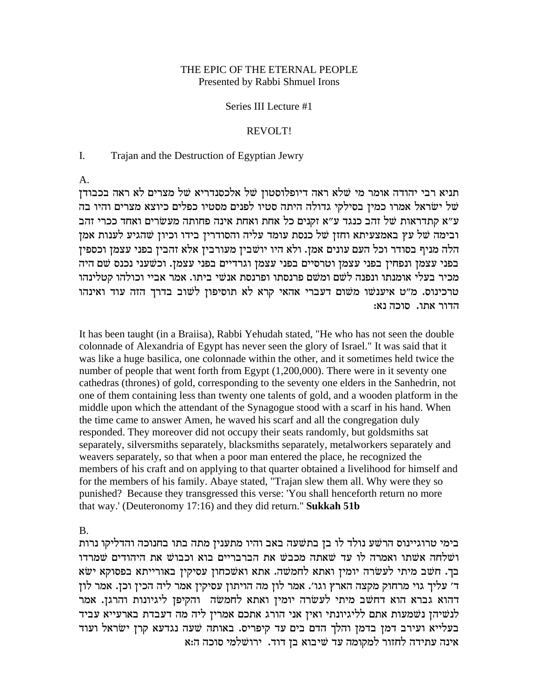#### THE EPIC OF THE ETERNAL PEOPLE Presented by Rabbi Shmuel Irons

#### Series III Lecture #1

#### REVOLT!

#### I. Trajan and the Destruction of Egyptian Jewry

A.

תניא רבי יהודה אומר מי שלא ראה דיופלוסטון של אלכסנדריא של מצרים לא ראה בכבודן מל ישראל אמרו כמין בסילקי גדולה היתה סטיו לפנים מסטיו כפלים כיוצא מצרים והיו בה ע״א קתדראות של זהב כנגד ע״א זקנים כל אחת ואחת אינה פחותה מעשׂרים ואחד ככרי זהב ובימה של עץ באמצעיתא וחזן של כנסת עומד עליה והסודרין בידו וכיון שהגיע לענות אמן הלה מניף בסודר וכל העם עונים אמן. ולא היו יושבין מעורבין אלא זהבין בפני עצמן וכספין בפני עצמן ונפחין בפני עצמן וטרסיים בפני עצמן וגרדיים בפני עצמן. וכשעני נכנס שם היה מכיר בעלי אומנתו ונפנה לשם ומשם פרנסתו ופרנסת אנשי ביתו. אמר אביי וכולהו קטלינהו טרכינוס. מ"ט איענשו משום דעברי אהאי קרא לא תוסיפון לשוב בדרך הזה עוד ואינהו :הדור אתו. סוכה נא

It has been taught (in a Braiisa), Rabbi Yehudah stated, "He who has not seen the double colonnade of Alexandria of Egypt has never seen the glory of Israel." It was said that it was like a huge basilica, one colonnade within the other, and it sometimes held twice the number of people that went forth from Egypt  $(1,200,000)$ . There were in it seventy one cathedras (thrones) of gold, corresponding to the seventy one elders in the Sanhedrin, not one of them containing less than twenty one talents of gold, and a wooden platform in the middle upon which the attendant of the Synagogue stood with a scarf in his hand. When the time came to answer Amen, he waved his scarf and all the congregation duly responded. They moreover did not occupy their seats randomly, but goldsmiths sat separately, silversmiths separately, blacksmiths separately, metalworkers separately and weavers separately, so that when a poor man entered the place, he recognized the members of his craft and on applying to that quarter obtained a livelihood for himself and for the members of his family. Abaye stated, "Trajan slew them all. Why were they so punished? Because they transgressed this verse: 'You shall henceforth return no more that way.' (Deuteronomy 17:16) and they did return." **Sukkah 51b**

B.

בימי טרוגיינוס הרשע נולד לו בן בתשעה באב והיו מתענין מתה בתו בחנוכה והדליקו נרות ושלחה אשתו ואמרה לו עד שאתה מכבש את הברבריים בוא וכבוש את היהודים שמרדו בך. חשב מיתי לעשרה יומין ואתא לחמשה. אתא ואשכחון עסיקין באורייתא בפסוקא ישא ר' עליך גוי מרחוק מקצה הארץ וגו'. אמר לון מה הויתון עסיקין אמר ליה הכין וכן. אמר לון דהוא גברא הוא דחשב מיתי לעשרה יומין ואתא לחמשה נהקיפן ליגיונות והרגן. אמר לנשיהן נשמעות אתם לליגיונתי ואין אני הורג אתכם אמרין ליה מה דעבדת בארעייא עביד בעלייא ועירב דמן בדמן והלך הדם בים עד קיפריס. באותה שעה נגדעא קרן ישראל ועוד אינה עתידה לחזור למקומה עד שיבוא בן דוד. ירושלמי סוכה ה:א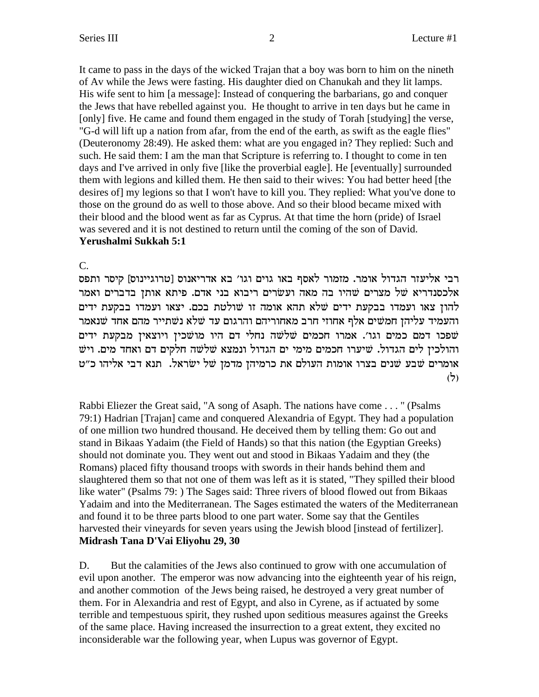It came to pass in the days of the wicked Trajan that a boy was born to him on the nineth of Av while the Jews were fasting. His daughter died on Chanukah and they lit lamps. His wife sent to him [a message]: Instead of conquering the barbarians, go and conquer the Jews that have rebelled against you. He thought to arrive in ten days but he came in [only] five. He came and found them engaged in the study of Torah [studying] the verse, "G-d will lift up a nation from afar, from the end of the earth, as swift as the eagle flies" (Deuteronomy 28:49). He asked them: what are you engaged in? They replied: Such and such. He said them: I am the man that Scripture is referring to. I thought to come in ten days and I've arrived in only five [like the proverbial eagle]. He [eventually] surrounded them with legions and killed them. He then said to their wives: You had better heed [the desires of my legions so that I won't have to kill you. They replied: What you've done to those on the ground do as well to those above. And so their blood became mixed with their blood and the blood went as far as Cyprus. At that time the horn (pride) of Israel was severed and it is not destined to return until the coming of the son of David. Yerushalmi Sukkah 5:1

 $C_{\cdot}$ 

רבי אליעזר הגדול אומר. מזמור לאסף באו גוים וגו' בא אדריאנוס [טרוגיינוס] קיסר ותפס אלכסנדריא של מצרים שהיו בה מאה ועשרים ריבוא בני אדם. פיתא אותן בדברים ואמר להון צאו ועמדו בבקעת ידים שלא תהא אומה זו שולטת בכם. יצאו ועמדו בבקעת ידים והעמיד עליהן חמשים אלף אחוזי חרב מאחוריהם והרגום עד שלא נשתייר מהם אחד שנאמר שפכו דמם כמים וגו׳. אמרו חכמים שׁלשה נחלי דם היו מושכין ויוצאין מבקעת ידים והולכין לים הגדול. שיערו חכמים מימי ים הגדול ונמצא שלשה חלקים דם ואחד מים. ויש אומרים שבע שנים בצרו אומות העולם את כרמיהן מדמן של ישראל. תנא דבי אליהו כ״ט  $(5)$ 

Rabbi Eliezer the Great said, "A song of Asaph. The nations have come . . . " (Psalms 79:1) Hadrian [Trajan] came and conquered Alexandria of Egypt. They had a population of one million two hundred thousand. He deceived them by telling them: Go out and stand in Bikaas Yadaim (the Field of Hands) so that this nation (the Egyptian Greeks) should not dominate you. They went out and stood in Bikaas Yadaim and they (the Romans) placed fifty thousand troops with swords in their hands behind them and slaughtered them so that not one of them was left as it is stated, "They spilled their blood like water" (Psalms 79:) The Sages said: Three rivers of blood flowed out from Bikaas Yadaim and into the Mediterranean. The Sages estimated the waters of the Mediterranean and found it to be three parts blood to one part water. Some say that the Gentiles harvested their vineyards for seven years using the Jewish blood [instead of fertilizer]. Midrash Tana D'Vai Eliyohu 29, 30

D. But the calamities of the Jews also continued to grow with one accumulation of evil upon another. The emperor was now advancing into the eighteenth year of his reign, and another commotion of the Jews being raised, he destroyed a very great number of them. For in Alexandria and rest of Egypt, and also in Cyrene, as if actuated by some terrible and tempestuous spirit, they rushed upon seditious measures against the Greeks of the same place. Having increased the insurrection to a great extent, they excited no inconsiderable war the following year, when Lupus was governor of Egypt.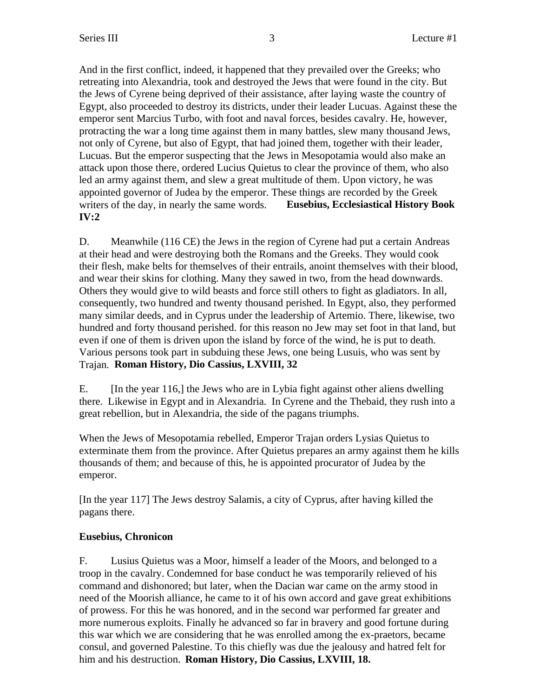And in the first conflict, indeed, it happened that they prevailed over the Greeks; who retreating into Alexandria, took and destroyed the Jews that were found in the city. But the Jews of Cyrene being deprived of their assistance, after laying waste the country of Egypt, also proceeded to destroy its districts, under their leader Lucuas. Against these the emperor sent Marcius Turbo, with foot and naval forces, besides cavalry. He, however, protracting the war a long time against them in many battles, slew many thousand Jews, not only of Cyrene, but also of Egypt, that had joined them, together with their leader, Lucuas. But the emperor suspecting that the Jews in Mesopotamia would also make an attack upon those there, ordered Lucius Quietus to clear the province of them, who also led an army against them, and slew a great multitude of them. Upon victory, he was appointed governor of Judea by the emperor. These things are recorded by the Greek writers of the day, in nearly the same words. **Eusebius, Ecclesiastical History Book IV:2**

D. Meanwhile (116 CE) the Jews in the region of Cyrene had put a certain Andreas at their head and were destroying both the Romans and the Greeks. They would cook their flesh, make belts for themselves of their entrails, anoint themselves with their blood, and wear their skins for clothing. Many they sawed in two, from the head downwards. Others they would give to wild beasts and force still others to fight as gladiators. In all, consequently, two hundred and twenty thousand perished. In Egypt, also, they performed many similar deeds, and in Cyprus under the leadership of Artemio. There, likewise, two hundred and forty thousand perished. for this reason no Jew may set foot in that land, but even if one of them is driven upon the island by force of the wind, he is put to death. Various persons took part in subduing these Jews, one being Lusuis, who was sent by Trajan. **Roman History, Dio Cassius, LXVIII, 32**

E. [In the year 116,] the Jews who are in Lybia fight against other aliens dwelling there. Likewise in Egypt and in Alexandria. In Cyrene and the Thebaid, they rush into a great rebellion, but in Alexandria, the side of the pagans triumphs.

When the Jews of Mesopotamia rebelled, Emperor Trajan orders Lysias Quietus to exterminate them from the province. After Quietus prepares an army against them he kills thousands of them; and because of this, he is appointed procurator of Judea by the emperor.

[In the year 117] The Jews destroy Salamis, a city of Cyprus, after having killed the pagans there.

## **Eusebius, Chronicon**

F. Lusius Quietus was a Moor, himself a leader of the Moors, and belonged to a troop in the cavalry. Condemned for base conduct he was temporarily relieved of his command and dishonored; but later, when the Dacian war came on the army stood in need of the Moorish alliance, he came to it of his own accord and gave great exhibitions of prowess. For this he was honored, and in the second war performed far greater and more numerous exploits. Finally he advanced so far in bravery and good fortune during this war which we are considering that he was enrolled among the ex-praetors, became consul, and governed Palestine. To this chiefly was due the jealousy and hatred felt for him and his destruction. **Roman History, Dio Cassius, LXVIII, 18.**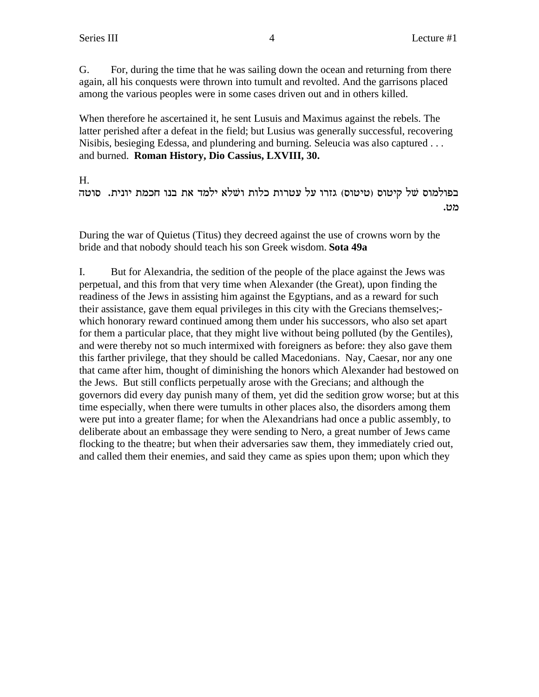G. For, during the time that he was sailing down the ocean and returning from there again, all his conquests were thrown into tumult and revolted. And the garrisons placed among the various peoples were in some cases driven out and in others killed.

When therefore he ascertained it, he sent Lusuis and Maximus against the rebels. The latter perished after a defeat in the field; but Lusius was generally successful, recovering Nisibis, besieging Edessa, and plundering and burning. Seleucia was also captured . . . and burned. **Roman History, Dio Cassius, LXVIII, 30.**

H.

בפולמוס של קיטוס (טיטוס) גזרו על עטרות כלות ושלא ילמד את בנו חכמת יונית. סוטה .מט

During the war of Quietus (Titus) they decreed against the use of crowns worn by the bride and that nobody should teach his son Greek wisdom. **Sota 49a**

I. But for Alexandria, the sedition of the people of the place against the Jews was perpetual, and this from that very time when Alexander (the Great), upon finding the readiness of the Jews in assisting him against the Egyptians, and as a reward for such their assistance, gave them equal privileges in this city with the Grecians themselves; which honorary reward continued among them under his successors, who also set apart for them a particular place, that they might live without being polluted (by the Gentiles), and were thereby not so much intermixed with foreigners as before: they also gave them this farther privilege, that they should be called Macedonians. Nay, Caesar, nor any one that came after him, thought of diminishing the honors which Alexander had bestowed on the Jews. But still conflicts perpetually arose with the Grecians; and although the governors did every day punish many of them, yet did the sedition grow worse; but at this time especially, when there were tumults in other places also, the disorders among them were put into a greater flame; for when the Alexandrians had once a public assembly, to deliberate about an embassage they were sending to Nero, a great number of Jews came flocking to the theatre; but when their adversaries saw them, they immediately cried out, and called them their enemies, and said they came as spies upon them; upon which they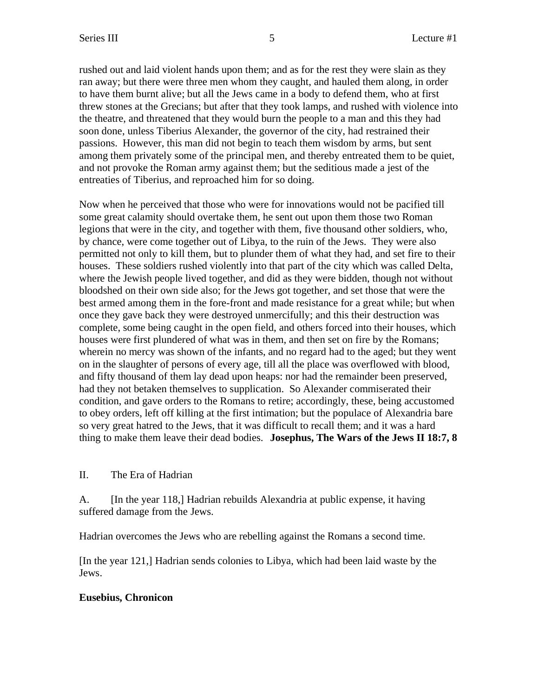rushed out and laid violent hands upon them; and as for the rest they were slain as they ran away; but there were three men whom they caught, and hauled them along, in order to have them burnt alive; but all the Jews came in a body to defend them, who at first threw stones at the Grecians; but after that they took lamps, and rushed with violence into the theatre, and threatened that they would burn the people to a man and this they had soon done, unless Tiberius Alexander, the governor of the city, had restrained their passions. However, this man did not begin to teach them wisdom by arms, but sent among them privately some of the principal men, and thereby entreated them to be quiet, and not provoke the Roman army against them; but the seditious made a jest of the entreaties of Tiberius, and reproached him for so doing.

Now when he perceived that those who were for innovations would not be pacified till some great calamity should overtake them, he sent out upon them those two Roman legions that were in the city, and together with them, five thousand other soldiers, who, by chance, were come together out of Libya, to the ruin of the Jews. They were also permitted not only to kill them, but to plunder them of what they had, and set fire to their houses. These soldiers rushed violently into that part of the city which was called Delta, where the Jewish people lived together, and did as they were bidden, though not without bloodshed on their own side also; for the Jews got together, and set those that were the best armed among them in the fore-front and made resistance for a great while; but when once they gave back they were destroyed unmercifully; and this their destruction was complete, some being caught in the open field, and others forced into their houses, which houses were first plundered of what was in them, and then set on fire by the Romans; wherein no mercy was shown of the infants, and no regard had to the aged; but they went on in the slaughter of persons of every age, till all the place was overflowed with blood, and fifty thousand of them lay dead upon heaps: nor had the remainder been preserved, had they not betaken themselves to supplication. So Alexander commiserated their condition, and gave orders to the Romans to retire; accordingly, these, being accustomed to obey orders, left off killing at the first intimation; but the populace of Alexandria bare so very great hatred to the Jews, that it was difficult to recall them; and it was a hard thing to make them leave their dead bodies. **Josephus, The Wars of the Jews II 18:7, 8**

## II. The Era of Hadrian

A. [In the year 118,] Hadrian rebuilds Alexandria at public expense, it having suffered damage from the Jews.

Hadrian overcomes the Jews who are rebelling against the Romans a second time.

[In the year 121,] Hadrian sends colonies to Libya, which had been laid waste by the Jews.

## **Eusebius, Chronicon**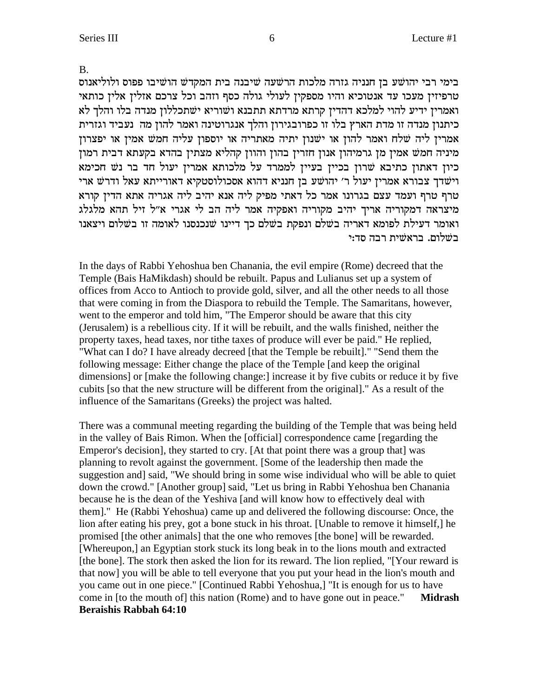**B.** 

בימי רבי יהושע בן חנניה גזרה מלכות הרשעה שיבנה בית המקדש הושיבו פפוס ולוליאנוס טרפיזין מעכו עד אנטוכיא והיו מספקין לעולי גולה כסף וזהב וכל צרכם אזלין אלין כותאי ואמרין ידיע להוי למלכא דהדין קרתא מרדתא תתבנא ושוריא ישתכללון מנדה בלו והלך לא כיתנון מנדה זו מדת הארץ בלו זו כפרובגירון והלך אנגרוטינה ואמר להון מה נעביד וגזרית אמרין ליה שלח ואמר להון או ישנון יתיה מאתריה או יוספון עליה חמש אמין או יפצרון מיניה חמש אמין מן גרמיהון אנון חזרין בהון והוון קהליא מצתין בהדא בקעתא דבית רמון כיון דאתון כתיבא שרון בכיין בעיין לממרד על מלכותא אמרין יעול חד בר נש חכימא וישׁדך צבורא אמרין יעול ר׳ יהושע בן חנניא דהוא אסכולוסטקיא דאורייתא עאל ודרש ארי טרף טרף ועמד עצם בגרונו אמר כל דאתי מפיק ליה אנא יהיב ליה אגריה אתא הדיז קורא מיצראה דמקוריה אריך יהיב מקוריה ואפקיה אמר ליה הב לי אגרי א"ל זיל תהא מלגלג ואומר דעילת לפומא דאריה בשלם ונפקת בשלם כך דיינו שנכנסנו לאומה זו בשלום ויצאנו בשלום. בראשית רבה סד:י

In the days of Rabbi Yehoshua ben Chanania, the evil empire (Rome) decreed that the Temple (Bais HaMikdash) should be rebuilt. Papus and Lulianus set up a system of offices from Acco to Antioch to provide gold, silver, and all the other needs to all those that were coming in from the Diaspora to rebuild the Temple. The Samaritans, however, went to the emperor and told him, "The Emperor should be aware that this city (Jerusalem) is a rebellious city. If it will be rebuilt, and the walls finished, neither the property taxes, head taxes, nor tithe taxes of produce will ever be paid." He replied, "What can I do? I have already decreed [that the Temple be rebuilt]." "Send them the following message: Either change the place of the Temple [and keep the original] dimensions] or [make the following change:] increase it by five cubits or reduce it by five cubits [so that the new structure will be different from the original]." As a result of the influence of the Samaritans (Greeks) the project was halted.

There was a communal meeting regarding the building of the Temple that was being held in the valley of Bais Rimon. When the [official] correspondence came [regarding the Emperor's decision], they started to cry. [At that point there was a group that] was planning to revolt against the government. [Some of the leadership then made the suggestion and] said, "We should bring in some wise individual who will be able to quiet down the crowd." [Another group] said, "Let us bring in Rabbi Yehoshua ben Chanania because he is the dean of the Yeshiva [and will know how to effectively deal with them]." He (Rabbi Yehoshua) came up and delivered the following discourse: Once, the lion after eating his prey, got a bone stuck in his throat. [Unable to remove it himself,] he promised [the other animals] that the one who removes [the bone] will be rewarded. [Whereupon,] an Egyptian stork stuck its long beak in to the lions mouth and extracted [the bone]. The stork then asked the lion for its reward. The lion replied, "[Your reward is that now] you will be able to tell everyone that you put your head in the lion's mouth and you came out in one piece." [Continued Rabbi Yehoshua,] "It is enough for us to have come in [to the mouth of] this nation (Rome) and to have gone out in peace." **Midrash Beraishis Rabbah 64:10**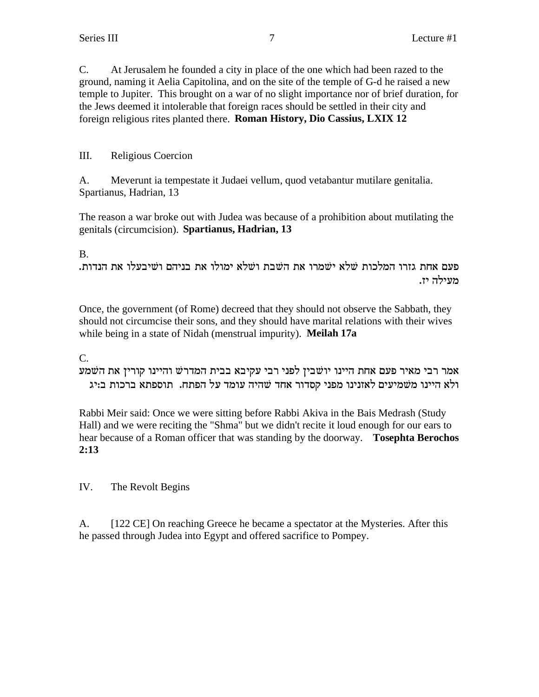C. At Jerusalem he founded a city in place of the one which had been razed to the ground, naming it Aelia Capitolina, and on the site of the temple of G-d he raised a new temple to Jupiter. This brought on a war of no slight importance nor of brief duration, for the Jews deemed it intolerable that foreign races should be settled in their city and foreign religious rites planted there. **Roman History, Dio Cassius, LXIX 12**

III. Religious Coercion

A. Meverunt ia tempestate it Judaei vellum, quod vetabantur mutilare genitalia. Spartianus, Hadrian, 13

The reason a war broke out with Judea was because of a prohibition about mutilating the genitals (circumcision). **Spartianus, Hadrian, 13**

## B.

.<br>פעם אחת גזרו המלכות שלא ישמרו את השבת ושלא ימולו את בניהם ושיבעלו את הנדות מעילה יז.

Once, the government (of Rome) decreed that they should not observe the Sabbath, they should not circumcise their sons, and they should have marital relations with their wives while being in a state of Nidah (menstrual impurity). **Meilah 17a**

C.

אמר רבי מאיר פעם אחת היינו יושבין לפני רבי עקיבא בבית המדרש והיינו קורין את השמע ולא היינו משמיעים לאזנינו מפני קסדור אחד שהיה עומד על הפתח. תוספתא ברכות ב:יג

Rabbi Meir said: Once we were sitting before Rabbi Akiva in the Bais Medrash (Study Hall) and we were reciting the "Shma" but we didn't recite it loud enough for our ears to hear because of a Roman officer that was standing by the doorway. **Tosephta Berochos 2:13**

IV. The Revolt Begins

A. [122 CE] On reaching Greece he became a spectator at the Mysteries. After this he passed through Judea into Egypt and offered sacrifice to Pompey.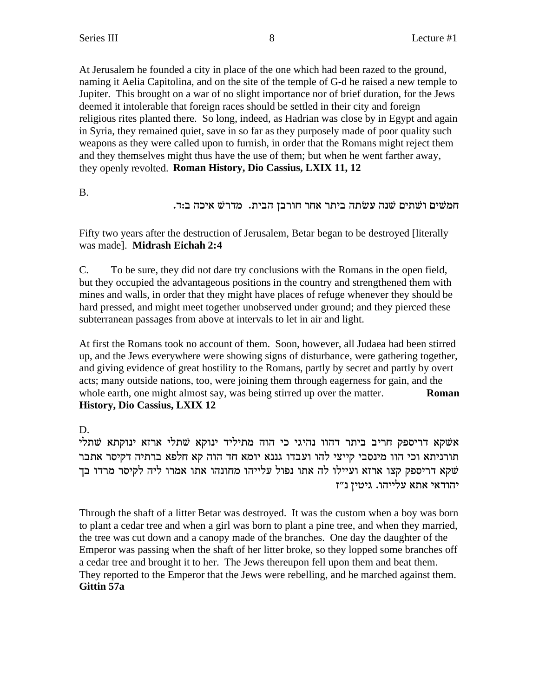At Jerusalem he founded a city in place of the one which had been razed to the ground, naming it Aelia Capitolina, and on the site of the temple of G-d he raised a new temple to Jupiter. This brought on a war of no slight importance nor of brief duration, for the Jews deemed it intolerable that foreign races should be settled in their city and foreign religious rites planted there. So long, indeed, as Hadrian was close by in Egypt and again in Syria, they remained quiet, save in so far as they purposely made of poor quality such weapons as they were called upon to furnish, in order that the Romans might reject them and they themselves might thus have the use of them; but when he went farther away, they openly revolted. Roman History, Dio Cassius, LXIX 11, 12

**B.** 

חמשים ושתים שנה עשתה ביתר אחר חורבן הבית. מדרש איכה ב:ד.

Fifty two years after the destruction of Jerusalem, Betar began to be destroved [literally was madel. Midrash Eichah 2:4

 $C_{\cdot}$ To be sure, they did not dare try conclusions with the Romans in the open field, but they occupied the advantageous positions in the country and strengthened them with mines and walls, in order that they might have places of refuge whenever they should be hard pressed, and might meet together unobserved under ground; and they pierced these subterranean passages from above at intervals to let in air and light.

At first the Romans took no account of them. Soon, however, all Judaea had been stirred up, and the Jews everywhere were showing signs of disturbance, were gathering together, and giving evidence of great hostility to the Romans, partly by secret and partly by overt acts; many outside nations, too, were joining them through eagerness for gain, and the whole earth, one might almost say, was being stirred up over the matter. Roman **History, Dio Cassius, LXIX 12** 

D.

אשקא דריספק חריב ביתר דהוו נהיגי כי הוה מתיליד ינוקא שתלי ארזא ינוקתא שתלי תורניתא וכי הוו מינסבי קייצי להו ועבדו גננא יומא חד הוה קא חלפא ברתיה דקיסר אתבר שקא דריספק קצו ארזא ועיילו לה אתו נפול עלייהו מחונהו אתו אמרו ליה לקיסר מרדו בך יהודאי אתא עלייהו. גיטיז נ"ז

Through the shaft of a litter Betar was destroyed. It was the custom when a boy was born to plant a cedar tree and when a girl was born to plant a pine tree, and when they married, the tree was cut down and a canopy made of the branches. One day the daughter of the Emperor was passing when the shaft of her litter broke, so they lopped some branches off a cedar tree and brought it to her. The Jews thereupon fell upon them and beat them. They reported to the Emperor that the Jews were rebelling, and he marched against them. Gittin 57a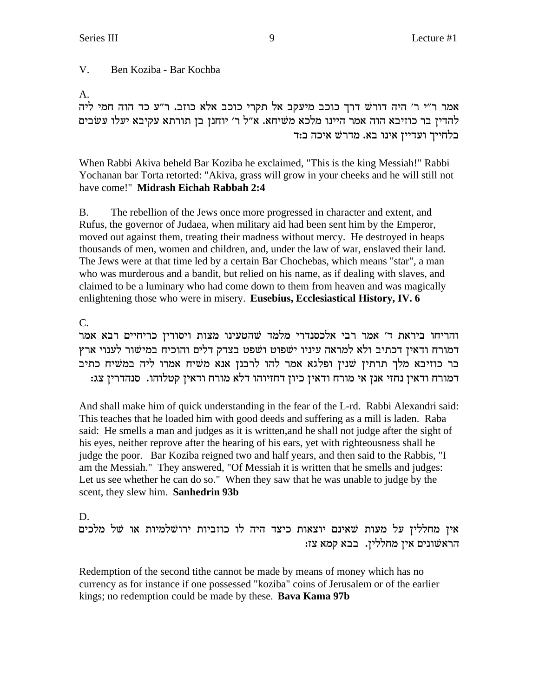V. Ben Koziba - Bar Kochba

A.

אמר ר"י ר' היה דורש דרך כוכב מיעקב אל תקרי כוכב אלא כוזב. ר"ע כד הוה חמי ליה להדין בר כוזיבא הוה אמר היינו מלכא משיחא. א"ל ר' יוחנן בן תורתא עקיבא יעלו עשבים בלחייך ועדיין אינו בא. מדרשׁ איכה ב:ד

When Rabbi Akiva beheld Bar Koziba he exclaimed, "This is the king Messiah!" Rabbi Yochanan bar Torta retorted: "Akiva, grass will grow in your cheeks and he will still not have come!" Midrash Eichah Rabbah 2:4

**B.** The rebellion of the Jews once more progressed in character and extent, and Rufus, the governor of Judaea, when military aid had been sent him by the Emperor, moved out against them, treating their madness without mercy. He destroyed in heaps thousands of men, women and children, and, under the law of war, enslaved their land. The Jews were at that time led by a certain Bar Chochebas, which means "star", a man who was murderous and a bandit, but relied on his name, as if dealing with slaves, and claimed to be a luminary who had come down to them from heaven and was magically enlightening those who were in misery. Eusebius, Ecclesiastical History, IV. 6

C.

והריחו ביראת ד' אמר רבי אלכסנדרי מלמד שהטעינו מצות ויסורין כריחיים רבא אמר דמורח ודאין דכתיב ולא למראה עיניו ישפוט ושפט בצדק דלים והוכיח במישור לענוי ארץ בר כוזיבא מלך תרתין שנין ופלגא אמר להו לרבנן אנא משיח אמרו ליה במשיח כתיב דמורח ודאין נחזי אנן אי מורח ודאין כיון דחזיוהו דלא מורח ודאין קטלוהו. סנהדרין צג:

And shall make him of quick understanding in the fear of the L-rd. Rabbi Alexandri said: This teaches that he loaded him with good deeds and suffering as a mill is laden. Raba said: He smells a man and judges as it is written, and he shall not judge after the sight of his eyes, neither reprove after the hearing of his ears, yet with righteousness shall he judge the poor. Bar Koziba reigned two and half years, and then said to the Rabbis, "I am the Messiah." They answered, "Of Messiah it is written that he smells and judges: Let us see whether he can do so." When they saw that he was unable to judge by the scent, they slew him. Sanhedrin 93b

D.

איז מחלליז על מעות שאינם יוצאות כיצד היה לו כוזביות ירושלמיות או של מלכים הראשונים אין מחללין. בבא קמא צז:

Redemption of the second tithe cannot be made by means of money which has no currency as for instance if one possessed "koziba" coins of Jerusalem or of the earlier kings; no redemption could be made by these. Bava Kama 97b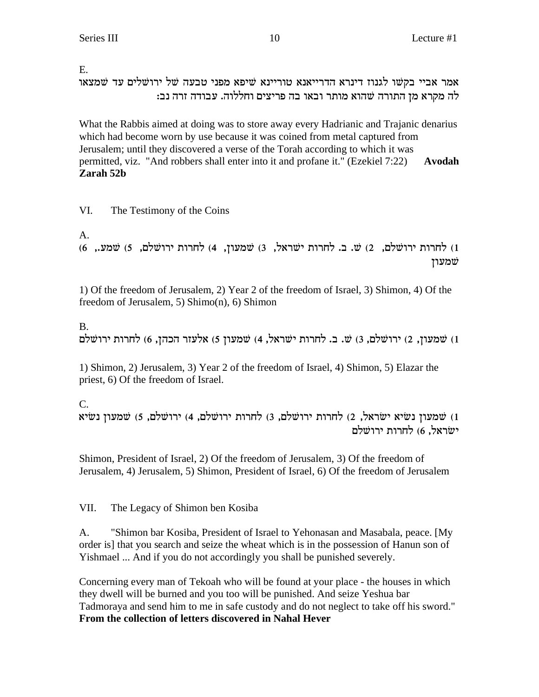E.

אמר אביי בקשו לגנוז דינרא הדרייאנא טוריינא שיפא מפני טבעה של ירושלים עד שמצאו לה מקרא מז התורה שהוא מותר ובאו בה פריצים וחללוה. עבודה זרה נב:

What the Rabbis aimed at doing was to store away every Hadrianic and Trajanic denarius which had become worn by use because it was coined from metal captured from Jerusalem; until they discovered a verse of the Torah according to which it was permitted, viz. "And robbers shall enter into it and profane it." (Ezekiel 7:22) **Avodah Zarah 52b**

## VI. The Testimony of the Coins

A.

(6 ,שמעוז, 4 ה') (5 ,ס' מ'תרות ישראל, 3) ממעוז, 4) לחרות ירושלם, 5) מוני .W ו מינ $(1)$ שמעון

1) Of the freedom of Jerusalem, 2) Year 2 of the freedom of Israel, 3) Shimon, 4) Of the freedom of Jerusalem, 5) Shimo(n), 6) Shimon

## B.

שמעון, 2) ירושלם, 3) ש. ב. לחרות ישראל, 4) שמעון 5) אלעזר הכהן, 6) לחרות ירושלם .

1) Shimon, 2) Jerusalem, 3) Year 2 of the freedom of Israel, 4) Shimon, 5) Elazar the priest, 6) Of the freedom of Israel.

## C.

`iUp oernW (5 ,mlWexi (4 ,mlWexi zexgl (3 ,mlWexi zexgl (2 ,l`xUi `iUp oernW (1 ישׂראל. 6) לחרות ירושלם

Shimon, President of Israel, 2) Of the freedom of Jerusalem, 3) Of the freedom of Jerusalem, 4) Jerusalem, 5) Shimon, President of Israel, 6) Of the freedom of Jerusalem

VII. The Legacy of Shimon ben Kosiba

A. "Shimon bar Kosiba, President of Israel to Yehonasan and Masabala, peace. [My order is] that you search and seize the wheat which is in the possession of Hanun son of Yishmael ... And if you do not accordingly you shall be punished severely.

Concerning every man of Tekoah who will be found at your place - the houses in which they dwell will be burned and you too will be punished. And seize Yeshua bar Tadmoraya and send him to me in safe custody and do not neglect to take off his sword." **From the collection of letters discovered in Nahal Hever**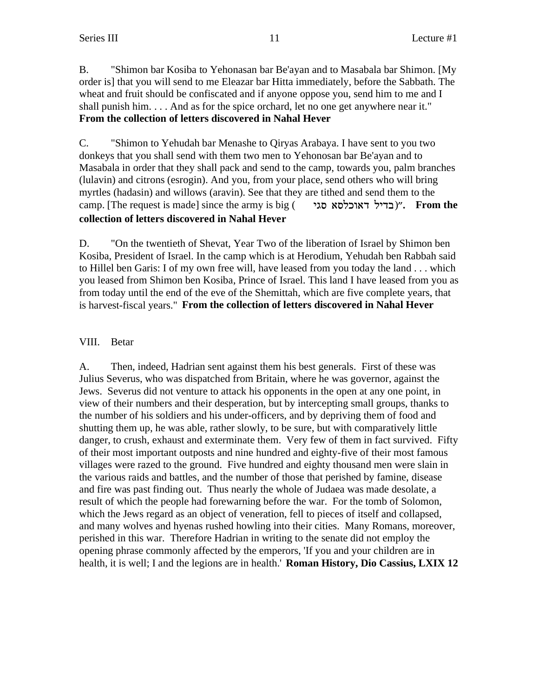B. "Shimon bar Kosiba to Yehonasan bar Be'ayan and to Masabala bar Shimon. [My order is] that you will send to me Eleazar bar Hitta immediately, before the Sabbath. The wheat and fruit should be confiscated and if anyone oppose you, send him to me and I shall punish him. . . . And as for the spice orchard, let no one get anywhere near it." **From the collection of letters discovered in Nahal Hever**

C. "Shimon to Yehudah bar Menashe to Qiryas Arabaya. I have sent to you two donkeys that you shall send with them two men to Yehonosan bar Be'ayan and to Masabala in order that they shall pack and send to the camp, towards you, palm branches (lulavin) and citrons (esrogin). And you, from your place, send others who will bring myrtles (hadasin) and willows (aravin). See that they are tithed and send them to the camp. [The request is made] since the army is big (**בדיל דאוכלסא סגי**)". **From the collection of letters discovered in Nahal Hever**

D. "On the twentieth of Shevat, Year Two of the liberation of Israel by Shimon ben Kosiba, President of Israel. In the camp which is at Herodium, Yehudah ben Rabbah said to Hillel ben Garis: I of my own free will, have leased from you today the land . . . which you leased from Shimon ben Kosiba, Prince of Israel. This land I have leased from you as from today until the end of the eve of the Shemittah, which are five complete years, that is harvest-fiscal years." **From the collection of letters discovered in Nahal Hever**

## VIII. Betar

A. Then, indeed, Hadrian sent against them his best generals. First of these was Julius Severus, who was dispatched from Britain, where he was governor, against the Jews. Severus did not venture to attack his opponents in the open at any one point, in view of their numbers and their desperation, but by intercepting small groups, thanks to the number of his soldiers and his under-officers, and by depriving them of food and shutting them up, he was able, rather slowly, to be sure, but with comparatively little danger, to crush, exhaust and exterminate them. Very few of them in fact survived. Fifty of their most important outposts and nine hundred and eighty-five of their most famous villages were razed to the ground. Five hundred and eighty thousand men were slain in the various raids and battles, and the number of those that perished by famine, disease and fire was past finding out. Thus nearly the whole of Judaea was made desolate, a result of which the people had forewarning before the war. For the tomb of Solomon, which the Jews regard as an object of veneration, fell to pieces of itself and collapsed, and many wolves and hyenas rushed howling into their cities. Many Romans, moreover, perished in this war. Therefore Hadrian in writing to the senate did not employ the opening phrase commonly affected by the emperors, 'If you and your children are in health, it is well; I and the legions are in health.' **Roman History, Dio Cassius, LXIX 12**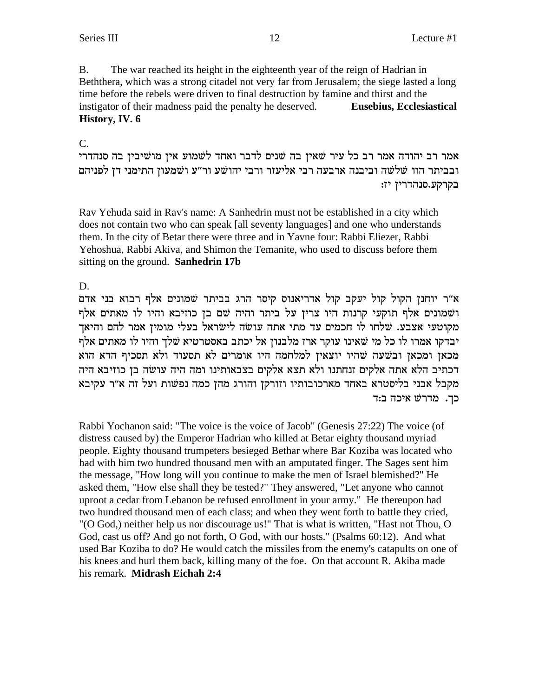**B.** The war reached its height in the eighteenth year of the reign of Hadrian in Beththera, which was a strong citadel not very far from Jerusalem; the siege lasted a long time before the rebels were driven to final destruction by famine and thirst and the instigator of their madness paid the penalty he deserved. **Eusebius, Ecclesiastical** History, IV. 6

## $C_{\cdot}$

אמר רב יהודה אמר רב כל עיר שאין בה שנים לדבר ואחד לשמוע אין מושיבין בה סנהדרי ובביתר הוו שלשה וביבנה ארבעה רבי אליעזר ורבי יהושע ור״ע ושמעוז התימני דז לפניהם בקרקע.סנהדרין יז:

Rav Yehuda said in Rav's name: A Sanhedrin must not be established in a city which does not contain two who can speak [all seventy languages] and one who understands them. In the city of Betar there were three and in Yavne four: Rabbi Eliezer, Rabbi Yehoshua, Rabbi Akiva, and Shimon the Temanite, who used to discuss before them sitting on the ground. Sanhedrin 17b

## D.

א״ר יוחנן הקול קול יעקב קול אדריאנוס קיסר הרג בביתר שמונים אלף רבוא בני אדם ושמונים אלף תוקעי קרנות היו צרין על ביתר והיה שם בן כוזיבא והיו לו מאתים אלף מקוטעי אצבע. שלחו לו חכמים עד מתי אתה עושה לישראל בעלי מומין אמר להם והיאך יבדקו אמרו לו כל מי שאינו עוקר ארז מלבנון אל יכתב באסטרטיא שלך והיו לו מאתים אלף מכאן ומכאן ובשעה שהיו יוצאין למלחמה היו אומרים לא תסעוד ולא תסכיף הדא הוא דכתיב הלא אתה אלקים זנחתנו ולא תצא אלקים בצבאותינו ומה היה עושה בן כוזיבא היה מקבל אבני בליסטרא באחד מארכובותיו וזורקן והורג מהן כמה נפשות ועל זה א״ר עקיבא כך. מדרשׁ איכה ב:ד

Rabbi Yochanon said: "The voice is the voice of Jacob" (Genesis 27:22) The voice (of distress caused by) the Emperor Hadrian who killed at Betar eighty thousand myriad people. Eighty thousand trumpeters besieged Bethar where Bar Koziba was located who had with him two hundred thousand men with an amputated finger. The Sages sent him the message, "How long will you continue to make the men of Israel blemished?" He asked them, "How else shall they be tested?" They answered, "Let anyone who cannot uproot a cedar from Lebanon be refused enrollment in your army." He thereupon had two hundred thousand men of each class; and when they went forth to battle they cried, "(O God,) neither help us nor discourage us!" That is what is written, "Hast not Thou, O God, cast us off? And go not forth, O God, with our hosts." (Psalms 60:12). And what used Bar Koziba to do? He would catch the missiles from the enemy's catapults on one of his knees and hurl them back, killing many of the foe. On that account R. Akiba made his remark. Midrash Eichah 2:4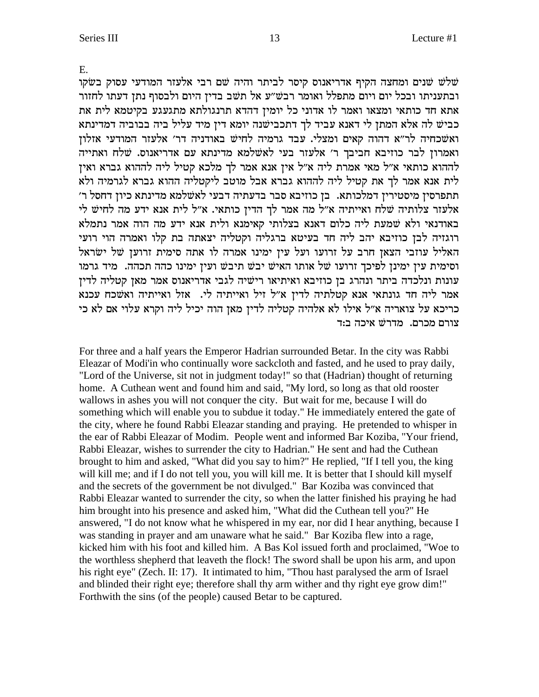E.

שלש שנים ומחצה הקיף אדריאנוס קיסר לביתר והיה שם רבי אלעזר המודעי עסוק בשקו ובתעניתו ובכל יום ויום מתפלל ואומר רבש״ע אל תשב בדין היום ולבסוף נתן דעתו לחזור אתא חד כותאי ומצאו ואמר לו אדוני כל יומין דהדא תרנגולתא מתגעגע בקיטמא לית את כביש לה אלא המתן לי דאנא עביד לך דתכבישנה יומא דין מיד עליל ביה בבוביה דמדינתא ואשכחיה לר"א דהוה קאים ומצלי. עבד גרמיה לחיש באודניה דר' אלעזר המודעי אזלון ואמרון לבר כוזיבא חביבך ר' אלעזר בעי לאשלמא מדינתא עם אדריאנוס. שלח ואתייה לההוא כותאי א״ל מאי אמרת ליה א״ל אין אנא אמר לך מלכא קטיל ליה לההוא גברא ואין לית אנא אמר לך את קטיל ליה לההוא גברא אבל מוטב ליקטליה ההוא גברא לגרמיה ולא תתפרסין מיסטירין דמלכותא. בן כוזיבא סבר בדעתיה דבעי לאשלמא מדינתא כיון דחסל ר׳ אלעזר צלותיה שלח ואייתיה א״ל מה אמר לך הדין כותאי. א״ל לית אנא ידע מה לחיש לי באודנאי ולא שמעת ליה כלום דאנא בצלותי קאימנא ולית אנא ידע מה הוה אמר נתמלא רוגזיה לבן כוזיבא יהב ליה חד בעיטא ברגליה וקטליה יצאתה בת קלו ואמרה הוי רועי האליל עוזבי הצאן חרב על זרועו ועל עין ימינו אמרה לו אתה סימית זרוען של ישראל וסימית עין ימינן לפיכך זרועו של אותו האיש יבש תיבש ועין ימינו כהה תכהה. מיד גרמו עונות ונלכדה ביתר ונהרג בן כוזיבא ואיתיאו רישיה לגבי אדריאנוס אמר מאן קטליה לדין אמר ליה חד גונתאי אנא קטלתיה לדין א״ל זיל ואייתיה לי. אזל ואייתיה ואשכח עכנא כריכא על צואריה א״ל אילו לא אלהיה קטליה לדין מאן הוה יכיל ליה וקרא עלוי אם לא כי צורם מכרם. מדרשׁ איכה ב:ד

For three and a half years the Emperor Hadrian surrounded Betar. In the city was Rabbi Eleazar of Modi'in who continually wore sackcloth and fasted, and he used to pray daily, "Lord of the Universe, sit not in judgment today!" so that (Hadrian) thought of returning home. A Cuthean went and found him and said, "My lord, so long as that old rooster wallows in ashes you will not conquer the city. But wait for me, because I will do something which will enable you to subdue it today." He immediately entered the gate of the city, where he found Rabbi Eleazar standing and praying. He pretended to whisper in the ear of Rabbi Eleazar of Modim. People went and informed Bar Koziba, "Your friend, Rabbi Eleazar, wishes to surrender the city to Hadrian." He sent and had the Cuthean brought to him and asked, "What did you say to him?" He replied, "If I tell you, the king will kill me; and if I do not tell you, you will kill me. It is better that I should kill myself and the secrets of the government be not divulged." Bar Koziba was convinced that Rabbi Eleazar wanted to surrender the city, so when the latter finished his praying he had him brought into his presence and asked him, "What did the Cuthean tell you?" He answered, "I do not know what he whispered in my ear, nor did I hear anything, because I was standing in prayer and am unaware what he said." Bar Koziba flew into a rage, kicked him with his foot and killed him. A Bas Kol issued forth and proclaimed, "Woe to the worthless shepherd that leaveth the flock! The sword shall be upon his arm, and upon his right eye" (Zech. II: 17). It intimated to him, "Thou hast paralysed the arm of Israel and blinded their right eye; therefore shall thy arm wither and thy right eye grow dim!" Forthwith the sins (of the people) caused Betar to be captured.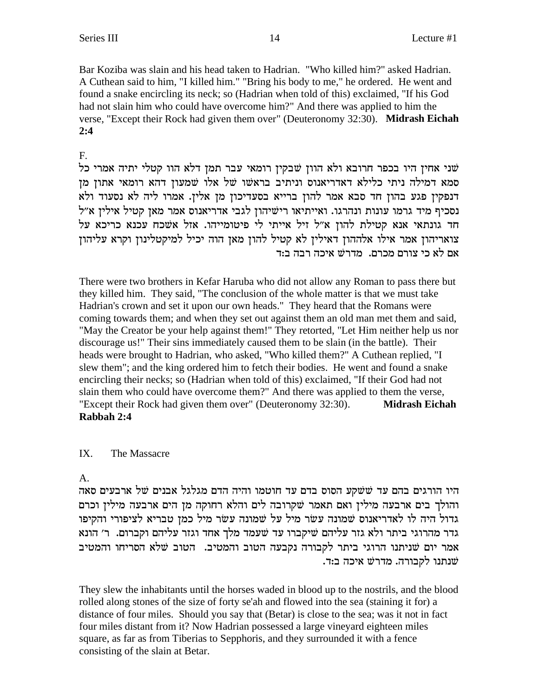Bar Koziba was slain and his head taken to Hadrian. "Who killed him?" asked Hadrian. A Cuthean said to him, "I killed him." "Bring his body to me," he ordered. He went and found a snake encircling its neck; so (Hadrian when told of this) exclaimed, "If his God had not slain him who could have overcome him?" And there was applied to him the verse, "Except their Rock had given them over" (Deuteronomy 32:30). Midrash Eichah  $2:4$ 

## $F_{\cdot}$

שני אחין היו בכפר חרובא ולא הוון שבקין רומאי עבר תמן דלא הוו קטלי יתיה אמרי כל סמא דמילה ניתי כלילא דאדריאנוס וניתיב בראשו של אלו שמעון דהא רומאי אתון מן דנפקין פגע בהון חד סבא אמר להון ברייא בסעדיכון מן אלין. אמרו ליה לא נסעוד ולא נסכיף מיד גרמו עונות ונהרגו. ואייתיאו רישיהון לגבי אדריאנוס אמר מאן קטיל אילין א"ל חד גונתאי אנא קטילת להון א"ל זיל אייתי לי פיטומייהו. אזל אשכח עכנא כריכא על צואריהון אמר אילו אלההון דאילין לא קטיל להון מאן הוה יכיל למיקטלינון וקרא עליהון אם לא כי צורם מכרם. מדרשׁ איכה רבה בזד

There were two brothers in Kefar Haruba who did not allow any Roman to pass there but they killed him. They said, "The conclusion of the whole matter is that we must take Hadrian's crown and set it upon our own heads." They heard that the Romans were coming towards them; and when they set out against them an old man met them and said, "May the Creator be your help against them!" They retorted, "Let Him neither help us nor discourage us!" Their sins immediately caused them to be slain (in the battle). Their heads were brought to Hadrian, who asked, "Who killed them?" A Cuthean replied, "I slew them"; and the king ordered him to fetch their bodies. He went and found a snake encircling their necks; so (Hadrian when told of this) exclaimed, "If their God had not slain them who could have overcome them?" And there was applied to them the verse, "Except their Rock had given them over" (Deuteronomy 32:30). **Midrash Eichah** Rabbah 2:4

#### $IX$ The Massacre

## A.

היו הורגים בהם עד ששקע הסוס בדם עד חוטמו והיה הדם מגלגל אבנים של ארבעים סאה והולך בים ארבעה מילין ואם תאמר שקרובה לים והלא רחוקה מן הים ארבעה מילין וכרם גדול היה לו לאדריאנוס שמונה עשר מיל על שמונה עשר מיל כמן טבריא לציפורי והקיפו גדר מהרוגי ביתר ולא גזר עליהם שיקברו עד שעמד מלך אחד וגזר עליהם וקברום. ר׳ הונא אמר יום שניתנו הרוגי ביתר לקבורה נקבעה הטוב והמטיב. הטוב שלא הסריחו והמטיב שנתנו לקבורה. מדרשׁ איכה ב:ד.

They slew the inhabitants until the horses waded in blood up to the nostrils, and the blood rolled along stones of the size of forty se'ah and flowed into the sea (staining it for) a distance of four miles. Should you say that (Betar) is close to the sea; was it not in fact four miles distant from it? Now Hadrian possessed a large vineyard eighteen miles square, as far as from Tiberias to Sepphoris, and they surrounded it with a fence consisting of the slain at Betar.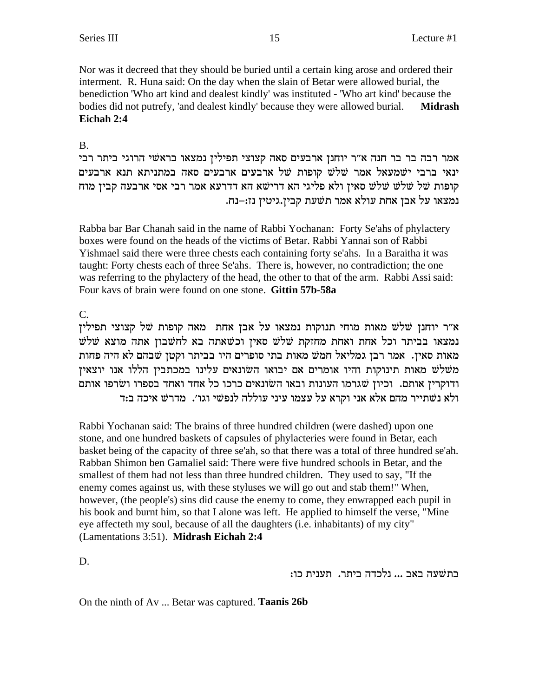Nor was it decreed that they should be buried until a certain king arose and ordered their interment. R. Huna said: On the day when the slain of Betar were allowed burial, the benediction 'Who art kind and dealest kindly' was instituted - 'Who art kind' because the bodies did not putrefy, 'and dealest kindly' because they were allowed burial. **Midrash Eichah 2:4**

## B.

אמר רבה בר בר חנה א"ר יוחנן ארבעים סאה קצוצי תפילין נמצאו בראשי הרוגי ביתר רבי ינאי ברבי ישמעאל אמר שלש קופות של ארבעים ארבעים סאה במתניתא תנא ארבעים קופות של שלש שלש סאין ולא פליגי הא דרישא הא דדרעא אמר רבי אסי ארבעה קבין מוח .<br>נמצאו על אבן אחת עולא אמר תשעת קבין.גיטין נז:–נח

Rabba bar Bar Chanah said in the name of Rabbi Yochanan: Forty Se'ahs of phylactery boxes were found on the heads of the victims of Betar. Rabbi Yannai son of Rabbi Yishmael said there were three chests each containing forty se'ahs. In a Baraitha it was taught: Forty chests each of three Se'ahs. There is, however, no contradiction; the one was referring to the phylactery of the head, the other to that of the arm. Rabbi Assi said: Four kavs of brain were found on one stone. **Gittin 57b-58a**

 $C<sub>1</sub>$ 

א״ר יוחנן שלש מאות מוחי תנוקות נמצאו על אבן אחת מאה קופות של קצוצי תפילין נמצאו בביתר וכל אחת ואחת מחזקת שלש סאין וכשאתה בא לחשבון אתה מוצא שלש מאות סאיז. אמר רבז גמליאל חמש מאות בתי סופרים היו בביתר וקטז שבהם לא היה פחות משלש מאות תינוקות והיו אומרים אם יבואו השונאים עלינו במכתבין הללו אנו יוצאין י ודוקרין אותם. וכיון שגרמו העונות ובאו השונאים כרכו כל אחד ואחד בספרו ושרפו אותם ולא נשתייר מהם אלא אני וקרא על עצמו עיני עוללה לנפשי וגו׳. מדרש איכה ב:ד

Rabbi Yochanan said: The brains of three hundred children (were dashed) upon one stone, and one hundred baskets of capsules of phylacteries were found in Betar, each basket being of the capacity of three se'ah, so that there was a total of three hundred se'ah. Rabban Shimon ben Gamaliel said: There were five hundred schools in Betar, and the smallest of them had not less than three hundred children. They used to say, "If the enemy comes against us, with these styluses we will go out and stab them!" When, however, (the people's) sins did cause the enemy to come, they enwrapped each pupil in his book and burnt him, so that I alone was left. He applied to himself the verse, "Mine eye affecteth my soul, because of all the daughters (i.e. inhabitants) of my city" (Lamentations 3:51). **Midrash Eichah 2:4**

D.

בתשעה באב ... נלכדה ביתר. תענית כו:

On the ninth of Av ... Betar was captured. **Taanis 26b**